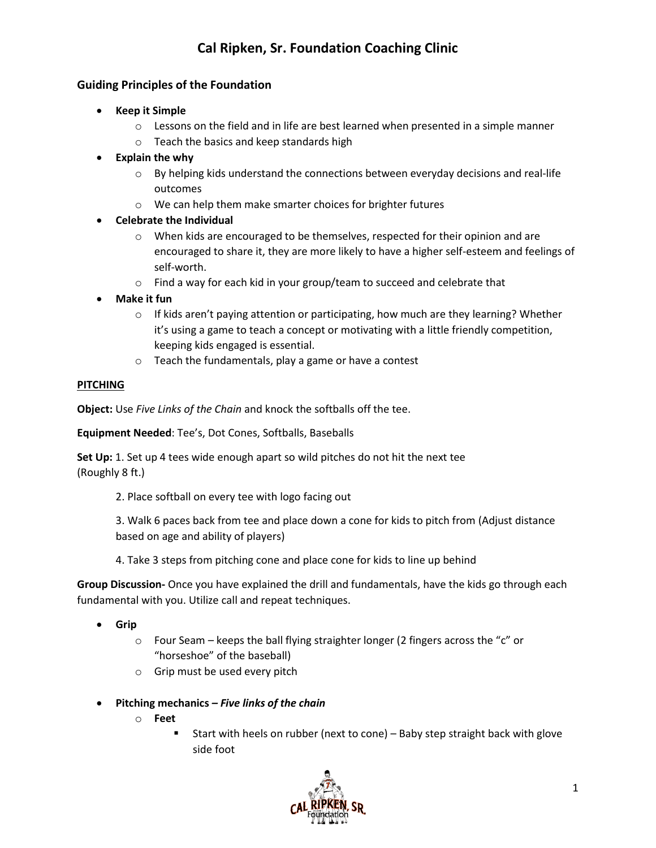### **Guiding Principles of the Foundation**

- **Keep it Simple**
	- $\circ$  Lessons on the field and in life are best learned when presented in a simple manner
	- o Teach the basics and keep standards high
- **Explain the why**
	- $\circ$  By helping kids understand the connections between everyday decisions and real-life outcomes
	- o We can help them make smarter choices for brighter futures
- **Celebrate the Individual**
	- $\circ$  When kids are encouraged to be themselves, respected for their opinion and are encouraged to share it, they are more likely to have a higher self-esteem and feelings of self-worth.
	- o Find a way for each kid in your group/team to succeed and celebrate that
- **Make it fun**
	- $\circ$  If kids aren't paying attention or participating, how much are they learning? Whether it's using a game to teach a concept or motivating with a little friendly competition, keeping kids engaged is essential.
	- o Teach the fundamentals, play a game or have a contest

### **PITCHING**

**Object:** Use *Five Links of the Chain* and knock the softballs off the tee.

**Equipment Needed**: Tee's, Dot Cones, Softballs, Baseballs

**Set Up:** 1. Set up 4 tees wide enough apart so wild pitches do not hit the next tee (Roughly 8 ft.)

2. Place softball on every tee with logo facing out

3. Walk 6 paces back from tee and place down a cone for kids to pitch from (Adjust distance based on age and ability of players)

4. Take 3 steps from pitching cone and place cone for kids to line up behind

- **Grip**
	- o Four Seam keeps the ball flying straighter longer (2 fingers across the "c" or "horseshoe" of the baseball)
	- o Grip must be used every pitch
- **Pitching mechanics** *– Five links of the chain*
	- o **Feet**
		- Start with heels on rubber (next to cone) Baby step straight back with glove side foot

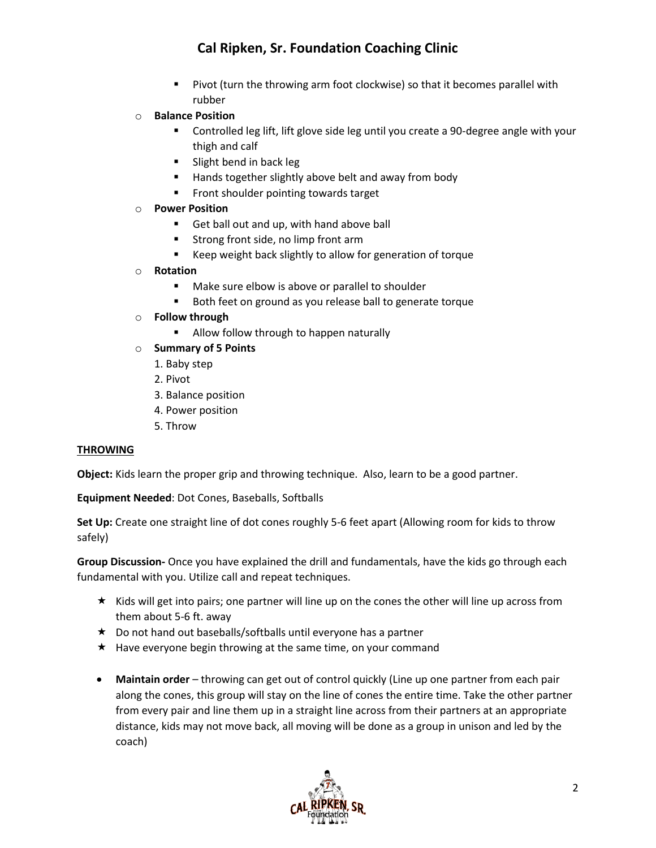- Pivot (turn the throwing arm foot clockwise) so that it becomes parallel with rubber
- o **Balance Position**
	- Controlled leg lift, lift glove side leg until you create a 90-degree angle with your thigh and calf
	- Slight bend in back leg
	- Hands together slightly above belt and away from body
	- Front shoulder pointing towards target
- o **Power Position**
	- Get ball out and up, with hand above ball
	- Strong front side, no limp front arm
	- Keep weight back slightly to allow for generation of torque
- o **Rotation** 
	- Make sure elbow is above or parallel to shoulder
	- Both feet on ground as you release ball to generate torque
- o **Follow through**
	- Allow follow through to happen naturally
- o **Summary of 5 Points**
	- 1. Baby step
	- 2. Pivot
	- 3. Balance position
	- 4. Power position
	- 5. Throw

#### **THROWING**

**Object:** Kids learn the proper grip and throwing technique. Also, learn to be a good partner.

**Equipment Needed**: Dot Cones, Baseballs, Softballs

**Set Up:** Create one straight line of dot cones roughly 5-6 feet apart (Allowing room for kids to throw safely)

- $\star$  Kids will get into pairs; one partner will line up on the cones the other will line up across from them about 5-6 ft. away
- $\star$  Do not hand out baseballs/softballs until everyone has a partner
- $\star$  Have everyone begin throwing at the same time, on your command
- **Maintain order** throwing can get out of control quickly (Line up one partner from each pair along the cones, this group will stay on the line of cones the entire time. Take the other partner from every pair and line them up in a straight line across from their partners at an appropriate distance, kids may not move back, all moving will be done as a group in unison and led by the coach)

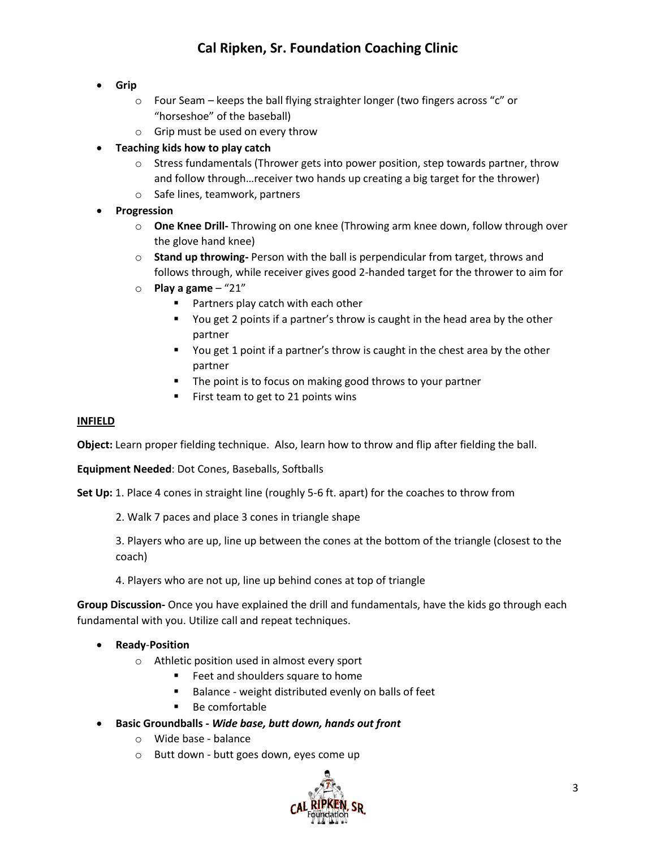- **Grip**
	- o Four Seam keeps the ball flying straighter longer (two fingers across "c" or "horseshoe" of the baseball)
	- o Grip must be used on every throw
- **Teaching kids how to play catch**
	- $\circ$  Stress fundamentals (Thrower gets into power position, step towards partner, throw and follow through…receiver two hands up creating a big target for the thrower)
	- o Safe lines, teamwork, partners
- **Progression**
	- o **One Knee Drill-** Throwing on one knee (Throwing arm knee down, follow through over the glove hand knee)
	- o **Stand up throwing-** Person with the ball is perpendicular from target, throws and follows through, while receiver gives good 2-handed target for the thrower to aim for
	- o **Play a game** "21"
		- Partners play catch with each other
		- You get 2 points if a partner's throw is caught in the head area by the other partner
		- You get 1 point if a partner's throw is caught in the chest area by the other partner
		- The point is to focus on making good throws to your partner
		- First team to get to 21 points wins

#### **INFIELD**

**Object:** Learn proper fielding technique. Also, learn how to throw and flip after fielding the ball.

**Equipment Needed**: Dot Cones, Baseballs, Softballs

**Set Up:** 1. Place 4 cones in straight line (roughly 5-6 ft. apart) for the coaches to throw from

2. Walk 7 paces and place 3 cones in triangle shape

3. Players who are up, line up between the cones at the bottom of the triangle (closest to the coach)

4. Players who are not up, line up behind cones at top of triangle

- **Ready**-**Position**
	- o Athletic position used in almost every sport
		- Feet and shoulders square to home
		- Balance weight distributed evenly on balls of feet
		- Be comfortable
- **Basic Groundballs -** *Wide base, butt down, hands out front*
	- o Wide base balance
	- o Butt down butt goes down, eyes come up

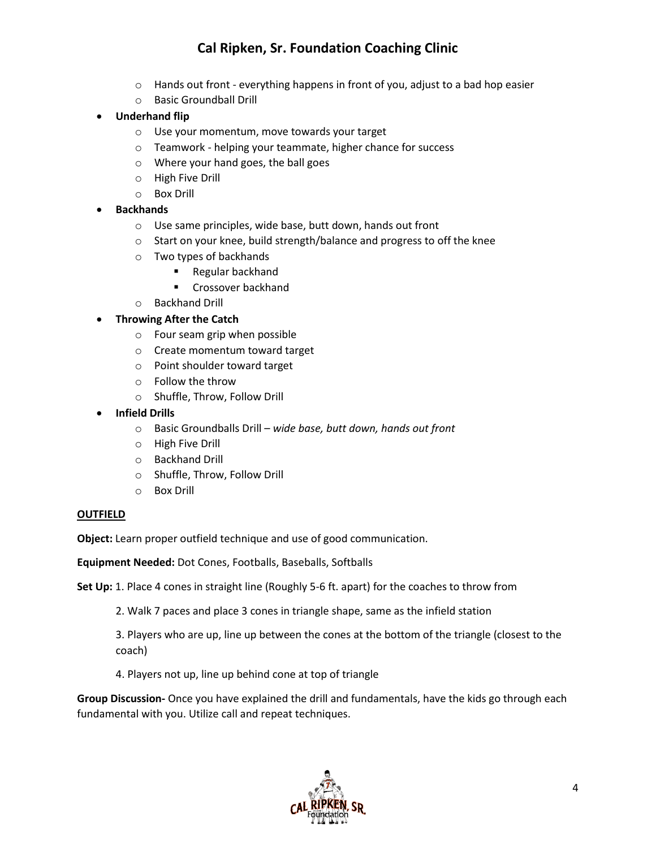- $\circ$  Hands out front everything happens in front of you, adjust to a bad hop easier
- o Basic Groundball Drill
- **Underhand flip**
	- o Use your momentum, move towards your target
	- o Teamwork helping your teammate, higher chance for success
	- o Where your hand goes, the ball goes
	- o High Five Drill
	- o Box Drill
- **Backhands**
	- o Use same principles, wide base, butt down, hands out front
	- o Start on your knee, build strength/balance and progress to off the knee
	- o Two types of backhands
		- Regular backhand
		- Crossover backhand
	- o Backhand Drill

### • **Throwing After the Catch**

- o Four seam grip when possible
- o Create momentum toward target
- o Point shoulder toward target
- o Follow the throw
- o Shuffle, Throw, Follow Drill
- **Infield Drills**
	- o Basic Groundballs Drill *wide base, butt down, hands out front*
	- o High Five Drill
	- o Backhand Drill
	- o Shuffle, Throw, Follow Drill
	- o Box Drill

#### **OUTFIELD**

**Object:** Learn proper outfield technique and use of good communication.

**Equipment Needed:** Dot Cones, Footballs, Baseballs, Softballs

**Set Up:** 1. Place 4 cones in straight line (Roughly 5-6 ft. apart) for the coaches to throw from

2. Walk 7 paces and place 3 cones in triangle shape, same as the infield station

3. Players who are up, line up between the cones at the bottom of the triangle (closest to the coach)

4. Players not up, line up behind cone at top of triangle

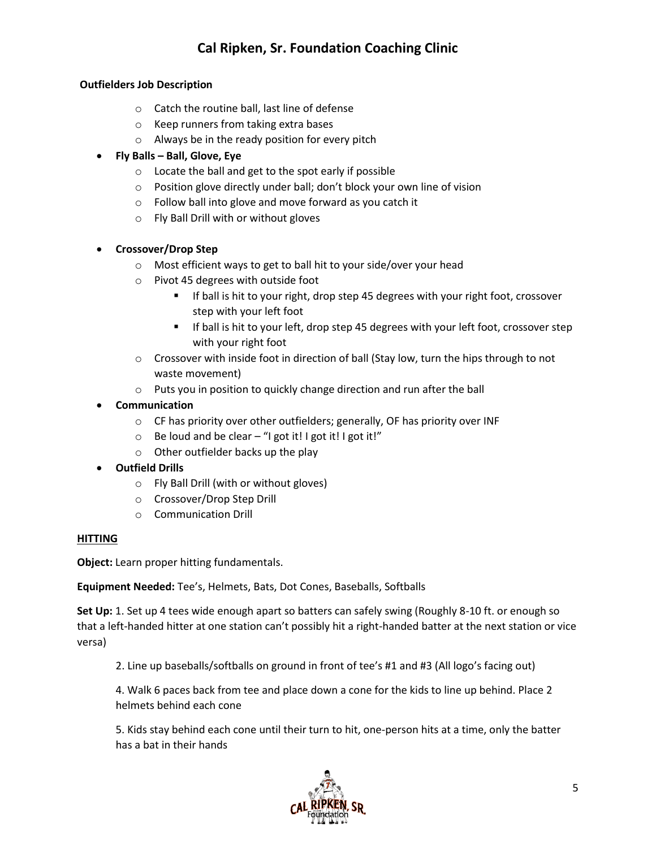### **Outfielders Job Description**

- o Catch the routine ball, last line of defense
- o Keep runners from taking extra bases
- o Always be in the ready position for every pitch

### • **Fly Balls – Ball, Glove, Eye**

- o Locate the ball and get to the spot early if possible
- o Position glove directly under ball; don't block your own line of vision
- o Follow ball into glove and move forward as you catch it
- o Fly Ball Drill with or without gloves

### • **Crossover/Drop Step**

- o Most efficient ways to get to ball hit to your side/over your head
- o Pivot 45 degrees with outside foot
	- If ball is hit to your right, drop step 45 degrees with your right foot, crossover step with your left foot
	- If ball is hit to your left, drop step 45 degrees with your left foot, crossover step with your right foot
- $\circ$  Crossover with inside foot in direction of ball (Stay low, turn the hips through to not waste movement)
- o Puts you in position to quickly change direction and run after the ball
- **Communication** 
	- o CF has priority over other outfielders; generally, OF has priority over INF
	- $\circ$  Be loud and be clear "I got it! I got it! I got it!"
	- o Other outfielder backs up the play
- **Outfield Drills**
	- o Fly Ball Drill (with or without gloves)
	- o Crossover/Drop Step Drill
	- o Communication Drill

#### **HITTING**

**Object:** Learn proper hitting fundamentals.

**Equipment Needed:** Tee's, Helmets, Bats, Dot Cones, Baseballs, Softballs

**Set Up:** 1. Set up 4 tees wide enough apart so batters can safely swing (Roughly 8-10 ft. or enough so that a left-handed hitter at one station can't possibly hit a right-handed batter at the next station or vice versa)

2. Line up baseballs/softballs on ground in front of tee's #1 and #3 (All logo's facing out)

4. Walk 6 paces back from tee and place down a cone for the kids to line up behind. Place 2 helmets behind each cone

5. Kids stay behind each cone until their turn to hit, one-person hits at a time, only the batter has a bat in their hands